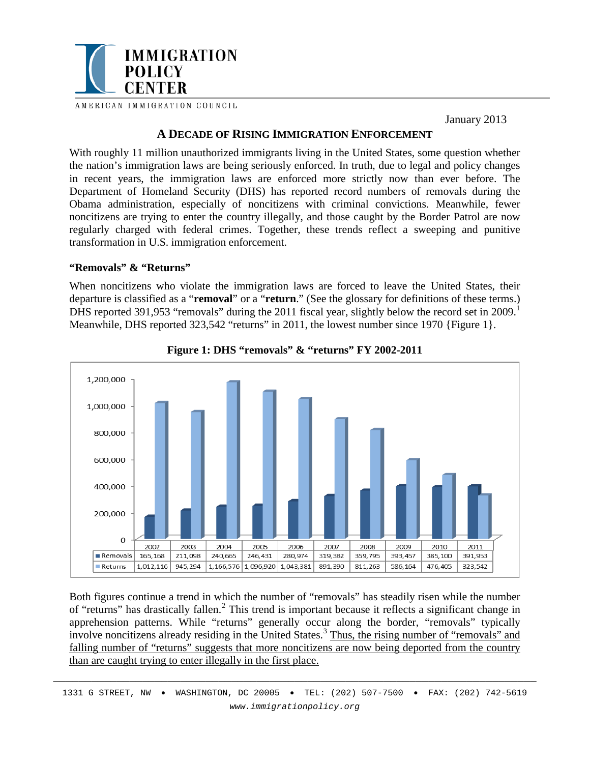

January 2013

# **A DECADE OF RISING IMMIGRATION ENFORCEMENT**

With roughly 11 million unauthorized immigrants living in the United States, some question whether the nation's immigration laws are being seriously enforced. In truth, due to legal and policy changes in recent years, the immigration laws are enforced more strictly now than ever before. The Department of Homeland Security (DHS) has reported record numbers of removals during the Obama administration, especially of noncitizens with criminal convictions. Meanwhile, fewer noncitizens are trying to enter the country illegally, and those caught by the Border Patrol are now regularly charged with federal crimes. Together, these trends reflect a sweeping and punitive transformation in U.S. immigration enforcement.

## **"Removals" & "Returns"**

When noncitizens who violate the immigration laws are forced to leave the United States, their departure is classified as a "**removal**" or a "**return**." (See the glossary for definitions of these terms.) DHS reported 39[1](#page-5-0),953 "removals" during the 2011 fiscal year, slightly below the record set in 2009.<sup>1</sup> Meanwhile, DHS reported 323,542 "returns" in 2011, the lowest number since 1970 {Figure 1}.



**Figure 1: DHS "removals" & "returns" FY 2002-2011**

Both figures continue a trend in which the number of "removals" has steadily risen while the number of "returns" has drastically fallen.<sup>[2](#page-5-1)</sup> This trend is important because it reflects a significant change in apprehension patterns. While "returns" generally occur along the border, "removals" typically involve noncitizens already residing in the United States.<sup>[3](#page-5-2)</sup> Thus, the rising number of "removals" and falling number of "returns" suggests that more noncitizens are now being deported from the country than are caught trying to enter illegally in the first place.

\_\_\_\_\_\_\_\_\_\_\_\_\_\_\_\_\_\_\_\_\_\_\_\_\_\_\_\_\_\_\_\_\_\_\_\_\_\_\_\_\_\_\_\_\_\_\_\_\_\_\_\_\_\_\_\_\_\_\_\_\_\_\_\_\_\_\_\_\_\_\_\_\_\_\_\_ 1331 G STREET, NW • WASHINGTON, DC 20005 • TEL: (202) 507-7500 • FAX: (202) 742-5619 *www.immigrationpolicy.org*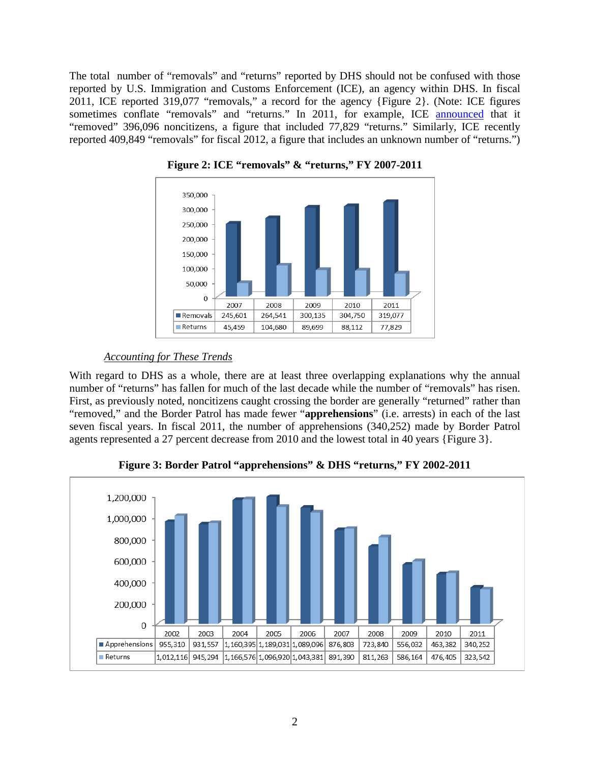The total number of "removals" and "returns" reported by DHS should not be confused with those reported by U.S. Immigration and Customs Enforcement (ICE), an agency within DHS. In fiscal 2011, ICE reported 319,077 "removals," a record for the agency {Figure 2}. (Note: ICE figures sometimes conflate "removals" and "returns." In 2011, for example, ICE [announced](http://www.ice.gov/news/releases/1110/111018washingtondc.htm) that it "removed" 396,096 noncitizens, a figure that included 77,829 "returns." Similarly, ICE recently reported 409,849 "removals" for fiscal 2012, a figure that includes an unknown number of "returns.")



**Figure 2: ICE "removals" & "returns," FY 2007-2011**

# *Accounting for These Trends*

With regard to DHS as a whole, there are at least three overlapping explanations why the annual number of "returns" has fallen for much of the last decade while the number of "removals" has risen. First, as previously noted, noncitizens caught crossing the border are generally "returned" rather than "removed," and the Border Patrol has made fewer "**apprehensions**" (i.e. arrests) in each of the last seven fiscal years. In fiscal 2011, the number of apprehensions (340,252) made by Border Patrol agents represented a 27 percent decrease from 2010 and the lowest total in 40 years {Figure 3}.



**Figure 3: Border Patrol "apprehensions" & DHS "returns," FY 2002-2011**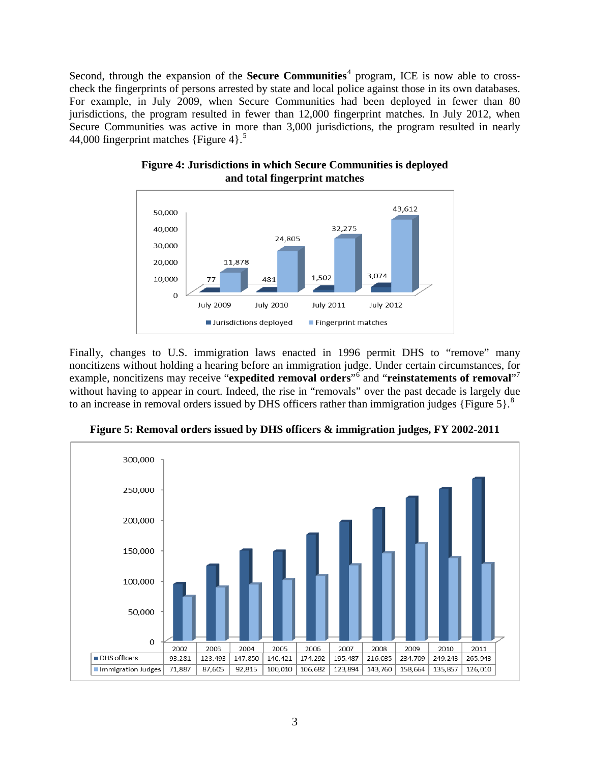Second, through the expansion of the **Secure Communities**<sup>[4](#page-5-3)</sup> program, ICE is now able to crosscheck the fingerprints of persons arrested by state and local police against those in its own databases. For example, in July 2009, when Secure Communities had been deployed in fewer than 80 jurisdictions, the program resulted in fewer than 12,000 fingerprint matches. In July 2012, when Secure Communities was active in more than 3,000 jurisdictions, the program resulted in nearly 44,000 fingerprint matches {Figure 4}. [5](#page-5-4)



**Figure 4: Jurisdictions in which Secure Communities is deployed and total fingerprint matches**

Finally, changes to U.S. immigration laws enacted in 1996 permit DHS to "remove" many noncitizens without holding a hearing before an immigration judge. Under certain circumstances, for example, noncitizens may receive "**expedited removal orders**"[6](#page-5-5) and "**reinstatements of removal**"[7](#page-5-6) without having to appear in court. Indeed, the rise in "removals" over the past decade is largely due to an increase in removal orders issued by DHS officers rather than immigration judges {Figure 5}.<sup>[8](#page-5-7)</sup>



**Figure 5: Removal orders issued by DHS officers & immigration judges, FY 2002-2011**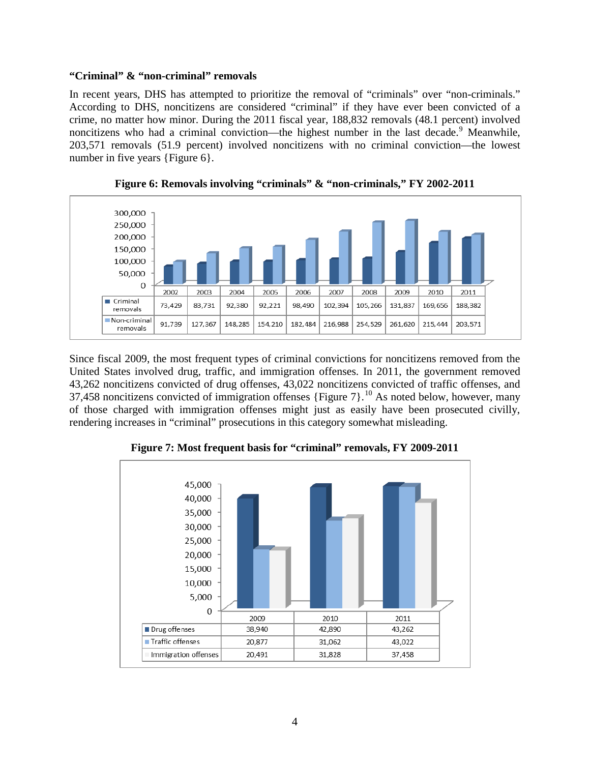#### **"Criminal" & "non-criminal" removals**

In recent years, DHS has attempted to prioritize the removal of "criminals" over "non-criminals." According to DHS, noncitizens are considered "criminal" if they have ever been convicted of a crime, no matter how minor. During the 2011 fiscal year, 188,832 removals (48.1 percent) involved noncitizens who had a criminal conviction—the highest number in the last decade.<sup>[9](#page-5-8)</sup> Meanwhile, 203,571 removals (51.9 percent) involved noncitizens with no criminal conviction—the lowest number in five years {Figure 6}.



**Figure 6: Removals involving "criminals" & "non-criminals," FY 2002-2011**

Since fiscal 2009, the most frequent types of criminal convictions for noncitizens removed from the United States involved drug, traffic, and immigration offenses. In 2011, the government removed 43,262 noncitizens convicted of drug offenses, 43,022 noncitizens convicted of traffic offenses, and 37,458 noncitizens convicted of immigration offenses {Figure  $7$ }.<sup>[10](#page-5-9)</sup> As noted below, however, many of those charged with immigration offenses might just as easily have been prosecuted civilly, rendering increases in "criminal" prosecutions in this category somewhat misleading.



**Figure 7: Most frequent basis for "criminal" removals, FY 2009-2011**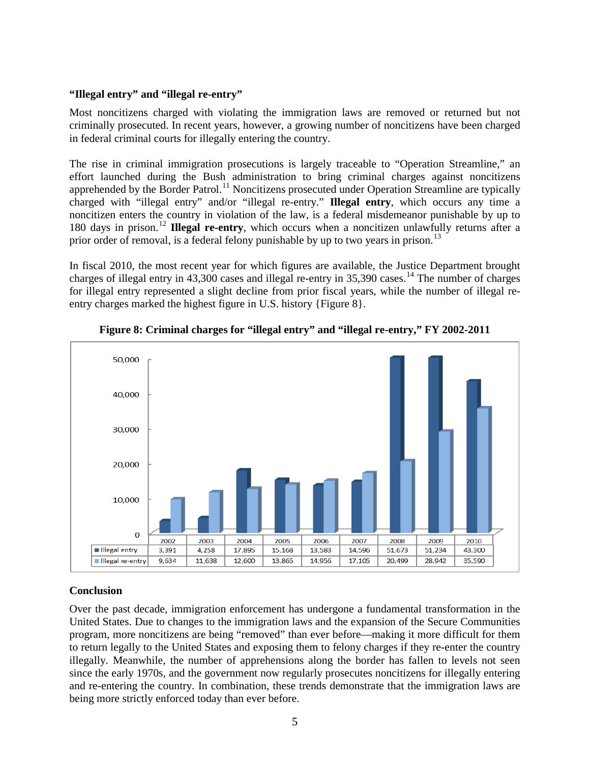## **"Illegal entry" and "illegal re-entry"**

Most noncitizens charged with violating the immigration laws are removed or returned but not criminally prosecuted. In recent years, however, a growing number of noncitizens have been charged in federal criminal courts for illegally entering the country.

The rise in criminal immigration prosecutions is largely traceable to "Operation Streamline," an effort launched during the Bush administration to bring criminal charges against noncitizens apprehended by the Border Patrol.<sup>[11](#page-5-10)</sup> Noncitizens prosecuted under Operation Streamline are typically charged with "illegal entry" and/or "illegal re-entry." **Illegal entry**, which occurs any time a noncitizen enters the country in violation of the law, is a federal misdemeanor punishable by up to 180 days in prison.[12](#page-5-11) **Illegal re-entry**, which occurs when a noncitizen unlawfully returns after a prior order of removal, is a federal felony punishable by up to two years in prison.<sup>[13](#page-5-12)</sup>

In fiscal 2010, the most recent year for which figures are available, the Justice Department brought charges of illegal entry in  $43,300$  cases and illegal re-entry in  $35,390$  cases.<sup>[14](#page-5-13)</sup> The number of charges for illegal entry represented a slight decline from prior fiscal years, while the number of illegal reentry charges marked the highest figure in U.S. history {Figure 8}.





# **Conclusion**

Over the past decade, immigration enforcement has undergone a fundamental transformation in the United States. Due to changes to the immigration laws and the expansion of the Secure Communities program, more noncitizens are being "removed" than ever before—making it more difficult for them to return legally to the United States and exposing them to felony charges if they re-enter the country illegally. Meanwhile, the number of apprehensions along the border has fallen to levels not seen since the early 1970s, and the government now regularly prosecutes noncitizens for illegally entering and re-entering the country. In combination, these trends demonstrate that the immigration laws are being more strictly enforced today than ever before.